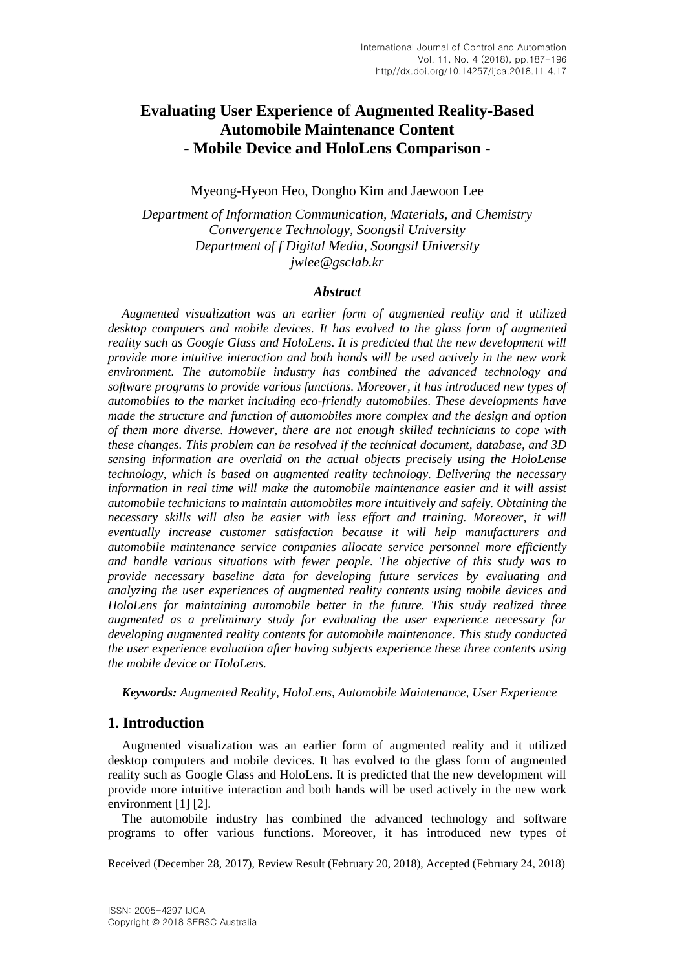# **Evaluating User Experience of Augmented Reality-Based Automobile Maintenance Content - Mobile Device and HoloLens Comparison -**

Myeong-Hyeon Heo, Dongho Kim and Jaewoon Lee

*Department of Information Communication, Materials, and Chemistry Convergence Technology, Soongsil University Department of f Digital Media, Soongsil University jwlee@gsclab.kr*

### *Abstract*

*Augmented visualization was an earlier form of augmented reality and it utilized desktop computers and mobile devices. It has evolved to the glass form of augmented reality such as Google Glass and HoloLens. It is predicted that the new development will provide more intuitive interaction and both hands will be used actively in the new work environment. The automobile industry has combined the advanced technology and software programs to provide various functions. Moreover, it has introduced new types of automobiles to the market including eco-friendly automobiles. These developments have made the structure and function of automobiles more complex and the design and option of them more diverse. However, there are not enough skilled technicians to cope with these changes. This problem can be resolved if the technical document, database, and 3D sensing information are overlaid on the actual objects precisely using the HoloLense technology, which is based on augmented reality technology. Delivering the necessary information in real time will make the automobile maintenance easier and it will assist automobile technicians to maintain automobiles more intuitively and safely. Obtaining the necessary skills will also be easier with less effort and training. Moreover, it will eventually increase customer satisfaction because it will help manufacturers and automobile maintenance service companies allocate service personnel more efficiently and handle various situations with fewer people. The objective of this study was to provide necessary baseline data for developing future services by evaluating and analyzing the user experiences of augmented reality contents using mobile devices and HoloLens for maintaining automobile better in the future. This study realized three augmented as a preliminary study for evaluating the user experience necessary for developing augmented reality contents for automobile maintenance. This study conducted the user experience evaluation after having subjects experience these three contents using the mobile device or HoloLens.* 

*Keywords: Augmented Reality, HoloLens, Automobile Maintenance, User Experience*

## **1. Introduction**

l

Augmented visualization was an earlier form of augmented reality and it utilized desktop computers and mobile devices. It has evolved to the glass form of augmented reality such as Google Glass and HoloLens. It is predicted that the new development will provide more intuitive interaction and both hands will be used actively in the new work environment [1] [2].

The automobile industry has combined the advanced technology and software programs to offer various functions. Moreover, it has introduced new types of

Received (December 28, 2017), Review Result (February 20, 2018), Accepted (February 24, 2018)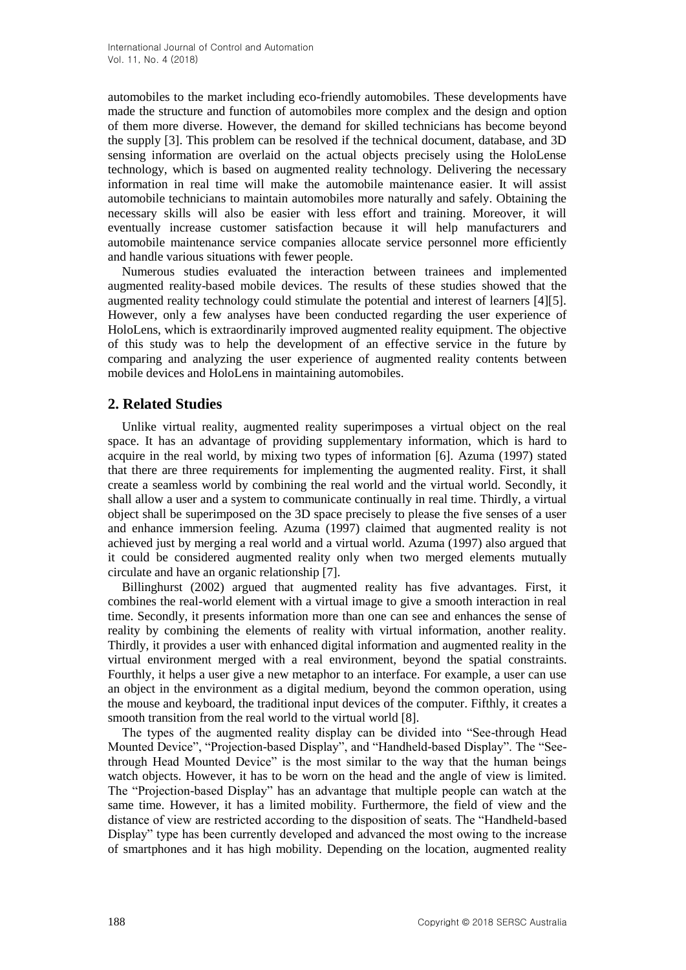automobiles to the market including eco-friendly automobiles. These developments have made the structure and function of automobiles more complex and the design and option of them more diverse. However, the demand for skilled technicians has become beyond the supply [3]. This problem can be resolved if the technical document, database, and 3D sensing information are overlaid on the actual objects precisely using the HoloLense technology, which is based on augmented reality technology. Delivering the necessary information in real time will make the automobile maintenance easier. It will assist automobile technicians to maintain automobiles more naturally and safely. Obtaining the necessary skills will also be easier with less effort and training. Moreover, it will eventually increase customer satisfaction because it will help manufacturers and automobile maintenance service companies allocate service personnel more efficiently and handle various situations with fewer people.

Numerous studies evaluated the interaction between trainees and implemented augmented reality-based mobile devices. The results of these studies showed that the augmented reality technology could stimulate the potential and interest of learners [4][5]. However, only a few analyses have been conducted regarding the user experience of HoloLens, which is extraordinarily improved augmented reality equipment. The objective of this study was to help the development of an effective service in the future by comparing and analyzing the user experience of augmented reality contents between mobile devices and HoloLens in maintaining automobiles.

## **2. Related Studies**

Unlike virtual reality, augmented reality superimposes a virtual object on the real space. It has an advantage of providing supplementary information, which is hard to acquire in the real world, by mixing two types of information [6]. Azuma (1997) stated that there are three requirements for implementing the augmented reality. First, it shall create a seamless world by combining the real world and the virtual world. Secondly, it shall allow a user and a system to communicate continually in real time. Thirdly, a virtual object shall be superimposed on the 3D space precisely to please the five senses of a user and enhance immersion feeling. Azuma (1997) claimed that augmented reality is not achieved just by merging a real world and a virtual world. Azuma (1997) also argued that it could be considered augmented reality only when two merged elements mutually circulate and have an organic relationship [7].

Billinghurst (2002) argued that augmented reality has five advantages. First, it combines the real-world element with a virtual image to give a smooth interaction in real time. Secondly, it presents information more than one can see and enhances the sense of reality by combining the elements of reality with virtual information, another reality. Thirdly, it provides a user with enhanced digital information and augmented reality in the virtual environment merged with a real environment, beyond the spatial constraints. Fourthly, it helps a user give a new metaphor to an interface. For example, a user can use an object in the environment as a digital medium, beyond the common operation, using the mouse and keyboard, the traditional input devices of the computer. Fifthly, it creates a smooth transition from the real world to the virtual world [8].

The types of the augmented reality display can be divided into "See-through Head Mounted Device", "Projection-based Display", and "Handheld-based Display". The "Seethrough Head Mounted Device" is the most similar to the way that the human beings watch objects. However, it has to be worn on the head and the angle of view is limited. The "Projection-based Display" has an advantage that multiple people can watch at the same time. However, it has a limited mobility. Furthermore, the field of view and the distance of view are restricted according to the disposition of seats. The "Handheld-based Display" type has been currently developed and advanced the most owing to the increase of smartphones and it has high mobility. Depending on the location, augmented reality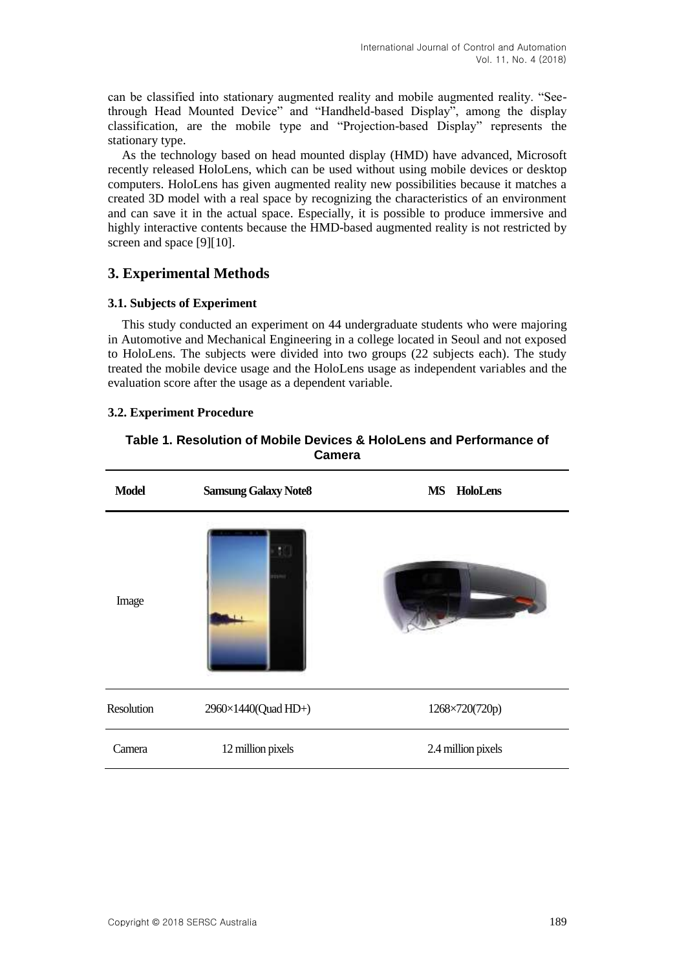can be classified into stationary augmented reality and mobile augmented reality. "Seethrough Head Mounted Device" and "Handheld-based Display", among the display classification, are the mobile type and "Projection-based Display" represents the stationary type.

As the technology based on head mounted display (HMD) have advanced, Microsoft recently released HoloLens, which can be used without using mobile devices or desktop computers. HoloLens has given augmented reality new possibilities because it matches a created 3D model with a real space by recognizing the characteristics of an environment and can save it in the actual space. Especially, it is possible to produce immersive and highly interactive contents because the HMD-based augmented reality is not restricted by screen and space [9][10].

## **3. Experimental Methods**

### **3.1. Subjects of Experiment**

This study conducted an experiment on 44 undergraduate students who were majoring in Automotive and Mechanical Engineering in a college located in Seoul and not exposed to HoloLens. The subjects were divided into two groups (22 subjects each). The study treated the mobile device usage and the HoloLens usage as independent variables and the evaluation score after the usage as a dependent variable.

## **3.2. Experiment Procedure**

### **Table 1. Resolution of Mobile Devices & HoloLens and Performance of Camera**

| <b>Model</b> | <b>Samsung Galaxy Note8</b> | <b>MS</b><br><b>HoloLens</b> |
|--------------|-----------------------------|------------------------------|
| Image        |                             |                              |
| Resolution   | 2960×1440(Quad HD+)         | 1268×720(720p)               |
| Camera       | 12 million pixels           | 2.4 million pixels           |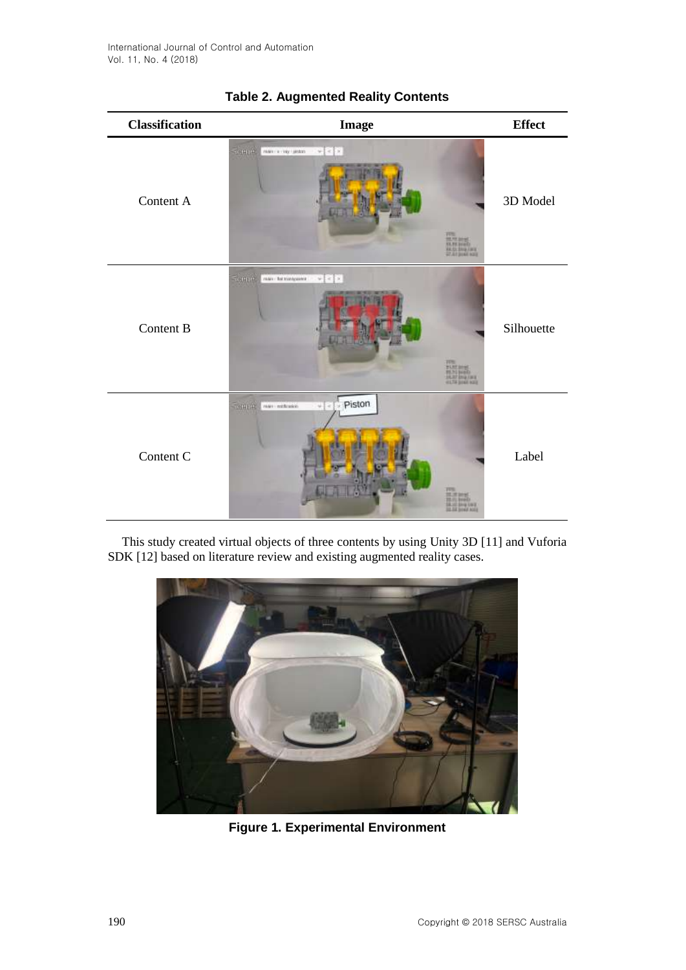| <b>Classification</b> | <b>Image</b>                                                                                           | <b>Effect</b> |
|-----------------------|--------------------------------------------------------------------------------------------------------|---------------|
| Content A             | <b>Separation</b><br>Well in the cases.<br>$w \in \mathbb{R}$<br><b>Thursday</b><br>Marian<br>Walioman | 3D Model      |
| Content B             | <b>Terms</b><br>$w = c + x$<br>main - but transporter<br>Thurs.<br>Hills<br><b>HILTH SOAK NOTE</b>     | Silhouette    |
| Content C             | Piston<br>THEFT.<br>Wert exhibition<br>$w = c$<br>27%<br><b>Holla</b><br><b>JULIE SINE AVE</b>         | Label         |

## **Table 2. Augmented Reality Contents**

This study created virtual objects of three contents by using Unity 3D [11] and Vuforia SDK [12] based on literature review and existing augmented reality cases.



**Figure 1. Experimental Environment**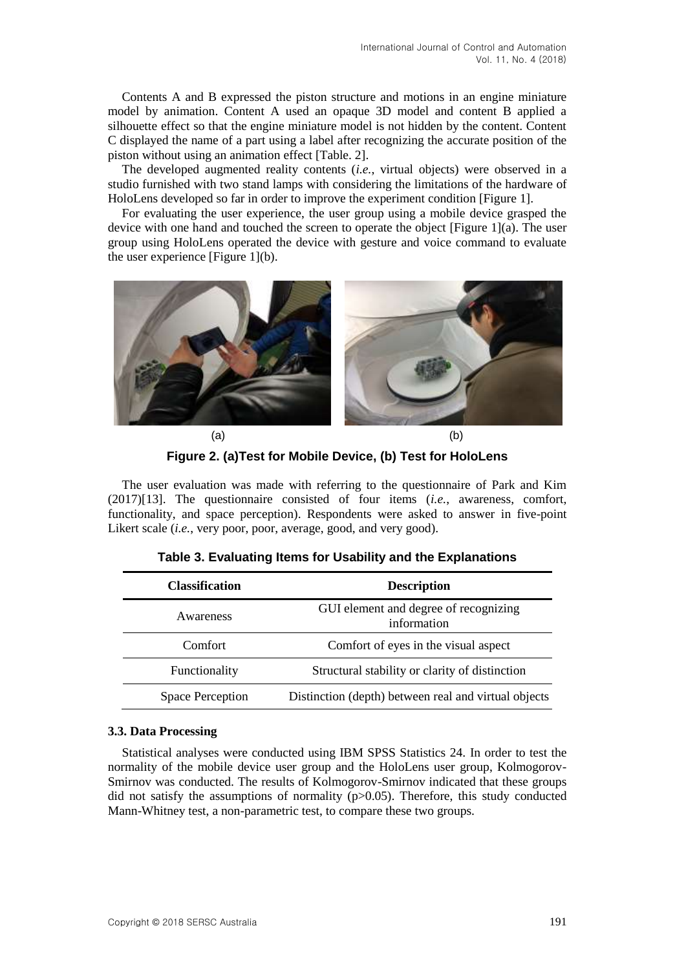Contents A and B expressed the piston structure and motions in an engine miniature model by animation. Content A used an opaque 3D model and content B applied a silhouette effect so that the engine miniature model is not hidden by the content. Content C displayed the name of a part using a label after recognizing the accurate position of the piston without using an animation effect [Table. 2].

The developed augmented reality contents (*i.e.*, virtual objects) were observed in a studio furnished with two stand lamps with considering the limitations of the hardware of HoloLens developed so far in order to improve the experiment condition [Figure 1].

For evaluating the user experience, the user group using a mobile device grasped the device with one hand and touched the screen to operate the object [Figure 1](a). The user group using HoloLens operated the device with gesture and voice command to evaluate the user experience [Figure 1](b).



**Figure 2. (a)Test for Mobile Device, (b) Test for HoloLens**

The user evaluation was made with referring to the questionnaire of Park and Kim (2017)[13]. The questionnaire consisted of four items (*i.e.*, awareness, comfort, functionality, and space perception). Respondents were asked to answer in five-point Likert scale *(i.e.*, very poor, poor, average, good, and very good).

| <b>Classification</b> | <b>Description</b>                                   |
|-----------------------|------------------------------------------------------|
| Awareness             | GUI element and degree of recognizing<br>information |
| Comfort               | Comfort of eyes in the visual aspect                 |
| Functionality         | Structural stability or clarity of distinction       |
| Space Perception      | Distinction (depth) between real and virtual objects |

#### **3.3. Data Processing**

Statistical analyses were conducted using IBM SPSS Statistics 24. In order to test the normality of the mobile device user group and the HoloLens user group, Kolmogorov-Smirnov was conducted. The results of Kolmogorov-Smirnov indicated that these groups did not satisfy the assumptions of normality (p>0.05). Therefore, this study conducted Mann-Whitney test, a non-parametric test, to compare these two groups.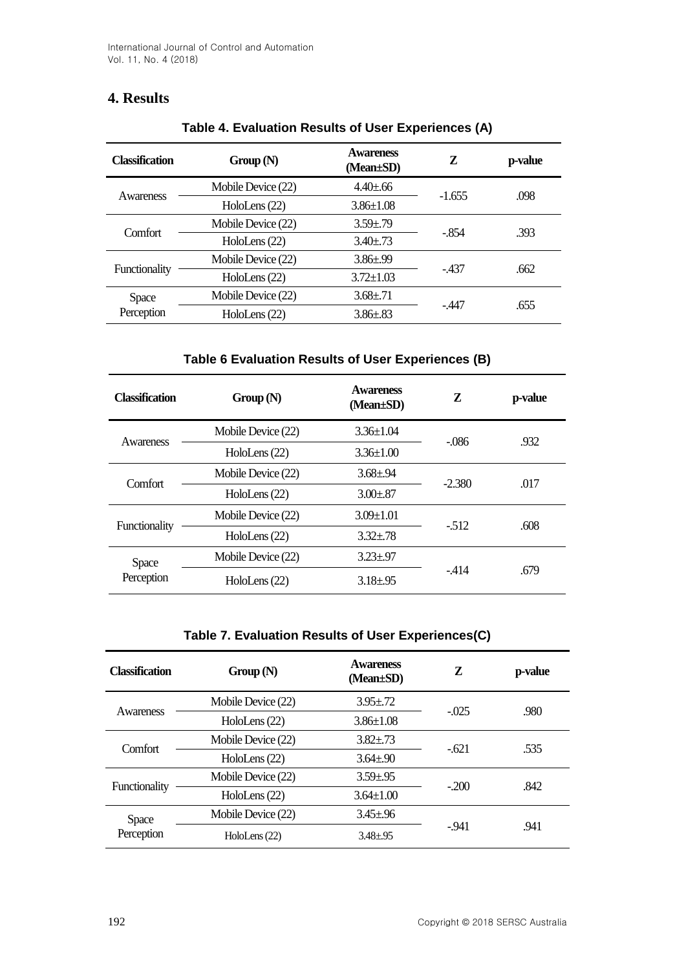## **4. Results**

| <b>Classification</b> | Group(N)           | <b>Awareness</b><br>(Mean±SD) | Z        | p-value |
|-----------------------|--------------------|-------------------------------|----------|---------|
| Awareness             | Mobile Device (22) | $4.40 \pm .66$                |          |         |
|                       | HoloLens (22)      | $3.86 \pm 1.08$               | $-1.655$ | .098    |
| Comfort               | Mobile Device (22) | $3.59 \pm .79$                | $-854$   | .393    |
|                       | HoloLens (22)      | $3.40 \pm .73$                |          |         |
|                       | Mobile Device (22) | $3.86 \pm .99$                | - 437    | .662    |
| Functionality         | HoloLens (22)      | $3.72 \pm 1.03$               |          |         |
| <b>Space</b>          | Mobile Device (22) | $3.68 \pm .71$                | -.447    | .655    |
| Perception            | HoloLens (22)      | $3.86 \pm .83$                |          |         |

## **Table 4. Evaluation Results of User Experiences (A)**

## **Table 6 Evaluation Results of User Experiences (B)**

| Classification | Group(N)           | <b>Awareness</b><br>$(Mean \pm SD)$ | Z        | p-value |
|----------------|--------------------|-------------------------------------|----------|---------|
| Awareness      | Mobile Device (22) | $3.36 \pm 1.04$                     | $-.086$  | .932    |
|                | HoloLens (22)      | $3.36 \pm 1.00$                     |          |         |
| Comfort        | Mobile Device (22) | $3.68 \pm .94$                      | $-2.380$ | .017    |
|                | HoloLens (22)      | $3.00 \pm .87$                      |          |         |
|                | Mobile Device (22) | $3.09 \pm 1.01$                     | $-512$   | .608    |
| Functionality  | HoloLens (22)      | $3.32 \pm .78$                      |          |         |
| <b>Space</b>   | Mobile Device (22) | $3.23 \pm .97$                      |          |         |
| Perception     | HoloLens (22)      | $3.18 \pm .95$                      | $-414$   | .679    |

### **Table 7. Evaluation Results of User Experiences(C)**

| <b>Classification</b>      | Group(N)           | <b>Awareness</b><br>$(Mean \pm SD)$ | Z       | p-value |
|----------------------------|--------------------|-------------------------------------|---------|---------|
| Awareness                  | Mobile Device (22) | $3.95 \pm .72$                      | $-.025$ | .980    |
|                            | HoloLens (22)      | $3.86 \pm 1.08$                     |         |         |
| Comfort                    | Mobile Device (22) | $3.82 \pm .73$                      | $-621$  | .535    |
|                            | HoloLens (22)      | $3.64 \pm .90$                      |         |         |
| Functionality              | Mobile Device (22) | $3.59 \pm .95$                      | $-200$  | .842    |
|                            | HoloLens (22)      | $3.64 \pm 1.00$                     |         |         |
| <b>Space</b><br>Perception | Mobile Device (22) | $3.45 \pm .96$                      |         |         |
|                            | HoloLens (22)      | $3.48 + .95$                        | $-941$  | .941    |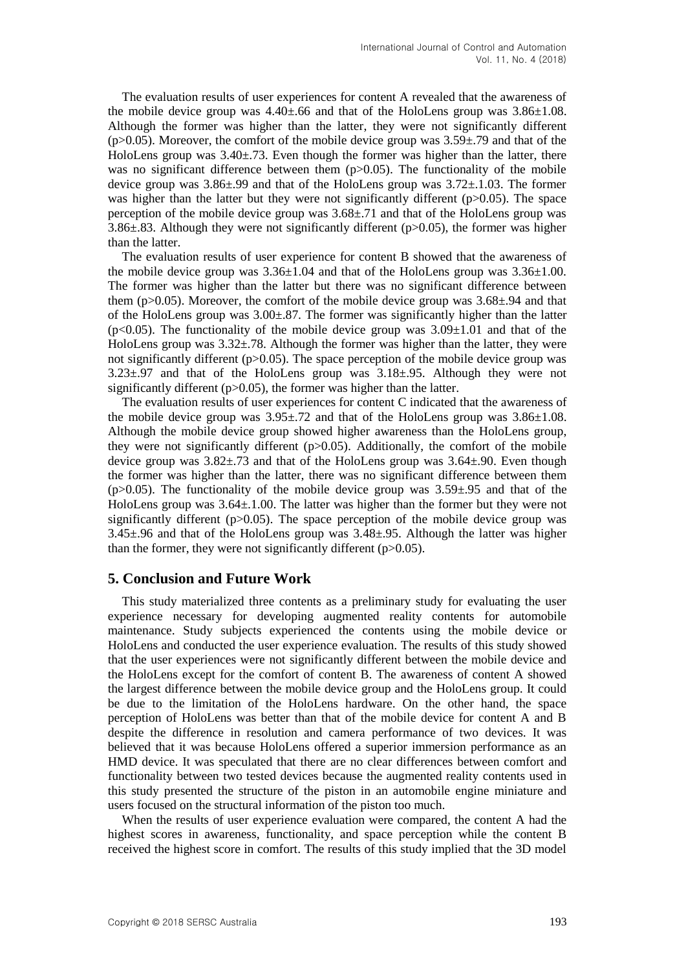The evaluation results of user experiences for content A revealed that the awareness of the mobile device group was  $4.40 \pm .66$  and that of the HoloLens group was  $3.86 \pm 1.08$ . Although the former was higher than the latter, they were not significantly different  $(p>0.05)$ . Moreover, the comfort of the mobile device group was  $3.59\pm 0.79$  and that of the HoloLens group was 3.40±.73. Even though the former was higher than the latter, there was no significant difference between them  $(p>0.05)$ . The functionality of the mobile device group was  $3.86\pm.99$  and that of the HoloLens group was  $3.72\pm.1.03$ . The former was higher than the latter but they were not significantly different ( $p>0.05$ ). The space perception of the mobile device group was 3.68±.71 and that of the HoloLens group was 3.86 $\pm$ .83. Although they were not significantly different (p $>0.05$ ), the former was higher than the latter.

The evaluation results of user experience for content B showed that the awareness of the mobile device group was  $3.36\pm1.04$  and that of the HoloLens group was  $3.36\pm1.00$ . The former was higher than the latter but there was no significant difference between them (p>0.05). Moreover, the comfort of the mobile device group was  $3.68\pm.94$  and that of the HoloLens group was 3.00±.87. The former was significantly higher than the latter  $(p<0.05)$ . The functionality of the mobile device group was  $3.09\pm1.01$  and that of the HoloLens group was  $3.32\pm.78$ . Although the former was higher than the latter, they were not significantly different ( $p > 0.05$ ). The space perception of the mobile device group was 3.23±.97 and that of the HoloLens group was 3.18±.95. Although they were not significantly different  $(p>0.05)$ , the former was higher than the latter.

The evaluation results of user experiences for content C indicated that the awareness of the mobile device group was  $3.95\pm.72$  and that of the HoloLens group was  $3.86\pm1.08$ . Although the mobile device group showed higher awareness than the HoloLens group, they were not significantly different  $(p>0.05)$ . Additionally, the comfort of the mobile device group was  $3.82 \pm .73$  and that of the HoloLens group was  $3.64 \pm .90$ . Even though the former was higher than the latter, there was no significant difference between them (p $>0.05$ ). The functionality of the mobile device group was  $3.59\pm.95$  and that of the HoloLens group was  $3.64\pm1.00$ . The latter was higher than the former but they were not significantly different  $(p>0.05)$ . The space perception of the mobile device group was 3.45±.96 and that of the HoloLens group was 3.48±.95. Although the latter was higher than the former, they were not significantly different  $(p>0.05)$ .

## **5. Conclusion and Future Work**

This study materialized three contents as a preliminary study for evaluating the user experience necessary for developing augmented reality contents for automobile maintenance. Study subjects experienced the contents using the mobile device or HoloLens and conducted the user experience evaluation. The results of this study showed that the user experiences were not significantly different between the mobile device and the HoloLens except for the comfort of content B. The awareness of content A showed the largest difference between the mobile device group and the HoloLens group. It could be due to the limitation of the HoloLens hardware. On the other hand, the space perception of HoloLens was better than that of the mobile device for content A and B despite the difference in resolution and camera performance of two devices. It was believed that it was because HoloLens offered a superior immersion performance as an HMD device. It was speculated that there are no clear differences between comfort and functionality between two tested devices because the augmented reality contents used in this study presented the structure of the piston in an automobile engine miniature and users focused on the structural information of the piston too much.

When the results of user experience evaluation were compared, the content A had the highest scores in awareness, functionality, and space perception while the content B received the highest score in comfort. The results of this study implied that the 3D model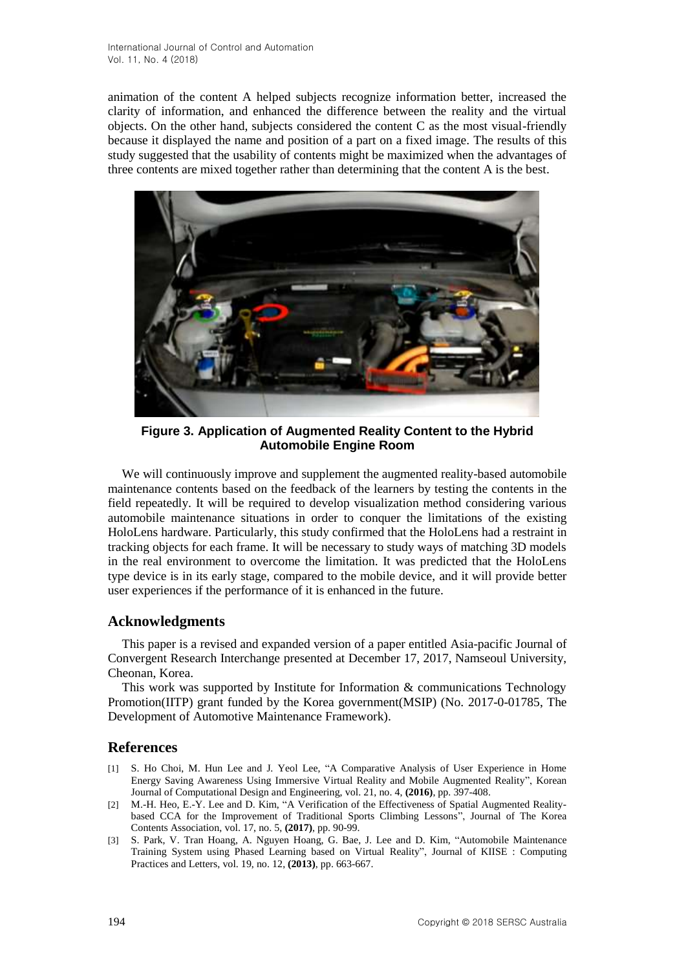animation of the content A helped subjects recognize information better, increased the clarity of information, and enhanced the difference between the reality and the virtual objects. On the other hand, subjects considered the content C as the most visual-friendly because it displayed the name and position of a part on a fixed image. The results of this study suggested that the usability of contents might be maximized when the advantages of three contents are mixed together rather than determining that the content A is the best.



**Figure 3. Application of Augmented Reality Content to the Hybrid Automobile Engine Room**

We will continuously improve and supplement the augmented reality-based automobile maintenance contents based on the feedback of the learners by testing the contents in the field repeatedly. It will be required to develop visualization method considering various automobile maintenance situations in order to conquer the limitations of the existing HoloLens hardware. Particularly, this study confirmed that the HoloLens had a restraint in tracking objects for each frame. It will be necessary to study ways of matching 3D models in the real environment to overcome the limitation. It was predicted that the HoloLens type device is in its early stage, compared to the mobile device, and it will provide better user experiences if the performance of it is enhanced in the future.

### **Acknowledgments**

This paper is a revised and expanded version of a paper entitled Asia-pacific Journal of Convergent Research Interchange presented at December 17, 2017, Namseoul University, Cheonan, Korea.

This work was supported by Institute for Information & communications Technology Promotion(IITP) grant funded by the Korea government(MSIP) (No. 2017-0-01785, The Development of Automotive Maintenance Framework).

## **References**

- [1] S. Ho Choi, M. Hun Lee and J. Yeol Lee, "A Comparative Analysis of User Experience in Home Energy Saving Awareness Using Immersive Virtual Reality and Mobile Augmented Reality", Korean Journal of Computational Design and Engineering, vol. 21, no. 4, **(2016)**, pp. 397-408.
- [2] M.-H. Heo, E.-Y. Lee and D. Kim, "A Verification of the Effectiveness of Spatial Augmented Realitybased CCA for the Improvement of Traditional Sports Climbing Lessons", Journal of The Korea Contents Association, vol. 17, no. 5, **(2017)**, pp. 90-99.
- [3] S. Park, V. Tran Hoang, A. Nguyen Hoang, G. Bae, J. Lee and D. Kim, "Automobile Maintenance Training System using Phased Learning based on Virtual Reality", Journal of KIISE : Computing Practices and Letters, vol. 19, no. 12, **(2013)**, pp. 663-667.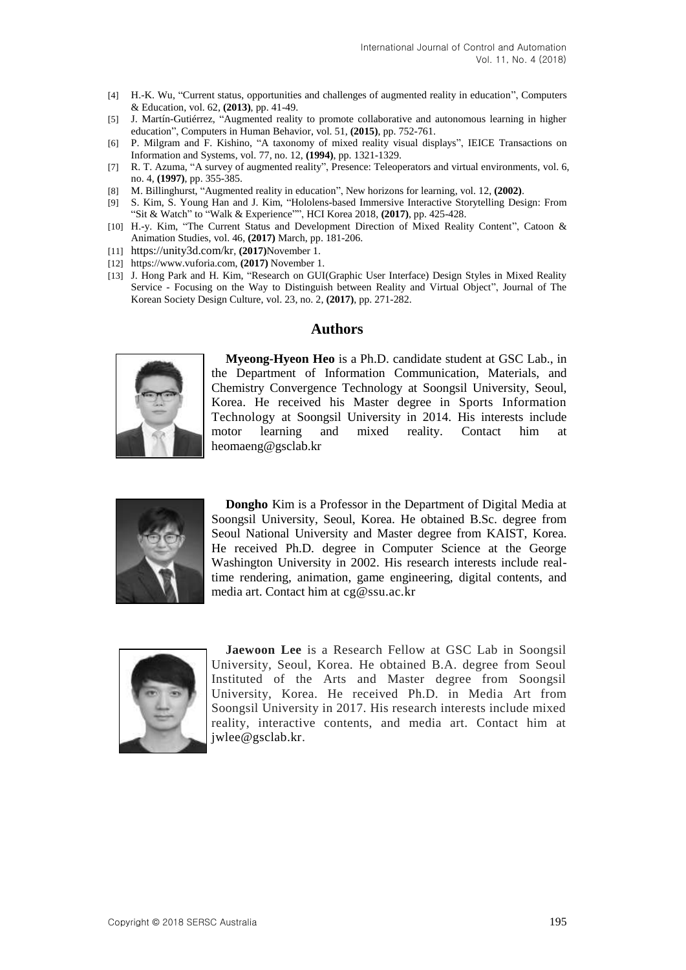- [4] H.-K. Wu, "Current status, opportunities and challenges of augmented reality in education", Computers & Education, vol. 62, **(2013)**, pp. 41-49.
- [5] J. Martín-Gutiérrez, "Augmented reality to promote collaborative and autonomous learning in higher education", Computers in Human Behavior, vol. 51, **(2015)**, pp. 752-761.
- [6] P. Milgram and F. Kishino, "A taxonomy of mixed reality visual displays", IEICE Transactions on Information and Systems, vol. 77, no. 12, **(1994)**, pp. 1321-1329.
- [7] R. T. Azuma, "A survey of augmented reality", Presence: Teleoperators and virtual environments, vol. 6, no. 4, **(1997)**, pp. 355-385.
- [8] M. Billinghurst, "Augmented reality in education", New horizons for learning, vol. 12, **(2002)**.
- [9] S. Kim, S. Young Han and J. Kim, "Hololens-based Immersive Interactive Storytelling Design: From "Sit & Watch" to "Walk & Experience"", HCI Korea 2018, **(2017)**, pp. 425-428.
- [10] H.-y. Kim, "The Current Status and Development Direction of Mixed Reality Content", Catoon & Animation Studies, vol. 46, **(2017)** March, pp. 181-206.
- [11] <https://unity3d.com/kr>, **(2017)**November 1.
- [12] https://www.vuforia.com, **(2017)** November 1.
- [13] J. Hong Park and H. Kim, "Research on GUI(Graphic User Interface) Design Styles in Mixed Reality Service - Focusing on the Way to Distinguish between Reality and Virtual Object", Journal of The Korean Society Design Culture, vol. 23, no. 2, **(2017)**, pp. 271-282.

#### **Authors**



**Myeong-Hyeon Heo** is a Ph.D. candidate student at GSC Lab., in the Department of Information Communication, Materials, and Chemistry Convergence Technology at Soongsil University, Seoul, Korea. He received his Master degree in Sports Information Technology at Soongsil University in 2014. His interests include motor learning and mixed reality. Contact him at heomaeng@gsclab.kr



**Dongho** Kim is a Professor in the Department of Digital Media at Soongsil University, Seoul, Korea. He obtained B.Sc. degree from Seoul National University and Master degree from KAIST, Korea. He received Ph.D. degree in Computer Science at the George Washington University in 2002. His research interests include realtime rendering, animation, game engineering, digital contents, and media art. Contact him at cg@ssu.ac.kr



**Jaewoon Lee** is a Research Fellow at GSC Lab in Soongsil University, Seoul, Korea. He obtained B.A. degree from Seoul Instituted of the Arts and Master degree from Soongsil University, Korea. He received Ph.D. in Media Art from Soongsil University in 2017. His research interests include mixed reality, interactive contents, and media art. Contact him at jwlee@gsclab.kr.